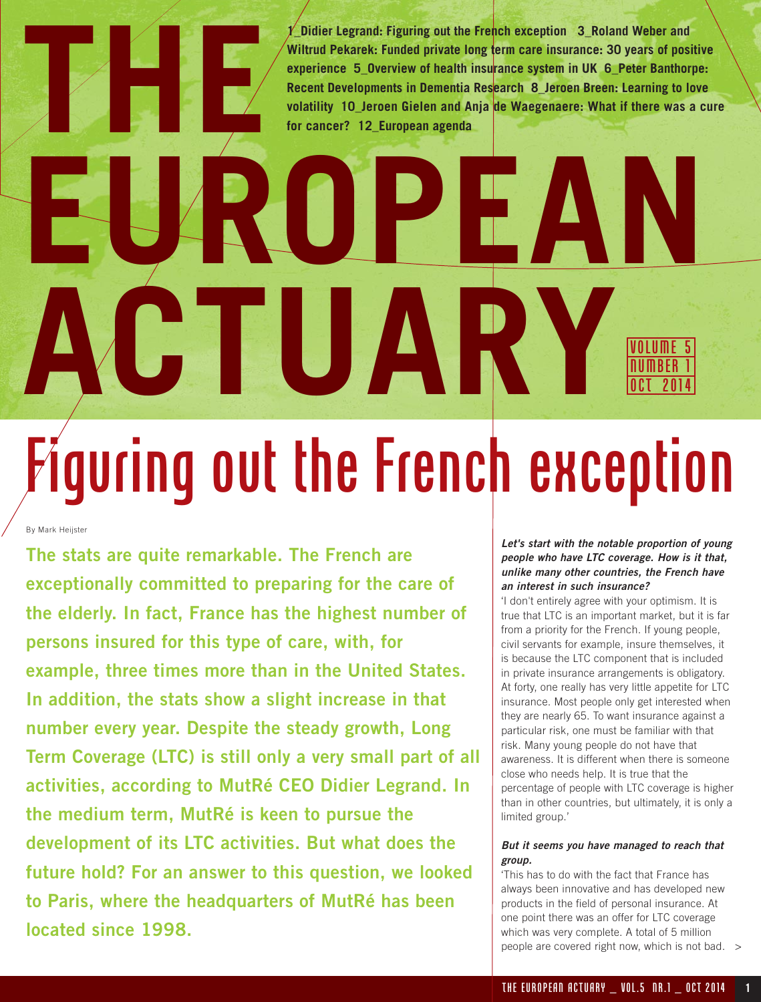**1\_Didier Legrand: Figuring out the French exception 3\_Roland Weber and Wiltrud Pekarek: Funded private long term care insurance: 30 years of positive experience 5\_Overview of health insurance system in UK 6\_Peter Banthorpe: Recent Developments in Dementia Research 8\_Jeroen Breen: Learning to love volatility 10\_Jeroen Gielen and Anja de Waegenaere: What if there was a cure for cancer? 12\_European agenda**

### **EUROPEAN ACTUARYVOLUME 5** NUMBER 1 OCT 2014 quring out the French exception

By Mark Heijster

**THE**

**The stats are quite remarkable. The French are exceptionally committed to preparing for the care of the elderly. In fact, France has the highest number of persons insured for this type of care, with, for example, three times more than in the United States. In addition, the stats show a slight increase in that number every year. Despite the steady growth, Long Term Coverage (LTC) is still only a very small part of all activities, according to MutRé CEO Didier Legrand. In the medium term, MutRé is keen to pursue the development of its LTC activities. But what does the future hold? For an answer to this question, we looked to Paris, where the headquarters of MutRé has been located since 1998.** 

### **Let's start with the notable proportion of young people who have LTC coverage. How is it that, unlike many other countries, the French have an interest in such insurance?**

'I don't entirely agree with your optimism. It is true that LTC is an important market, but it is far from a priority for the French. If young people, civil servants for example, insure themselves, it is because the LTC component that is included in private insurance arrangements is obligatory. At forty, one really has very little appetite for LTC insurance. Most people only get interested when they are nearly 65. To want insurance against a particular risk, one must be familiar with that risk. Many young people do not have that awareness. It is different when there is someone close who needs help. It is true that the percentage of people with LTC coverage is higher than in other countries, but ultimately, it is only a limited group.'

### **But it seems you have managed to reach that group.**

'This has to do with the fact that France has always been innovative and has developed new products in the field of personal insurance. At one point there was an offer for LTC coverage which was very complete. A total of 5 million people are covered right now, which is not bad. >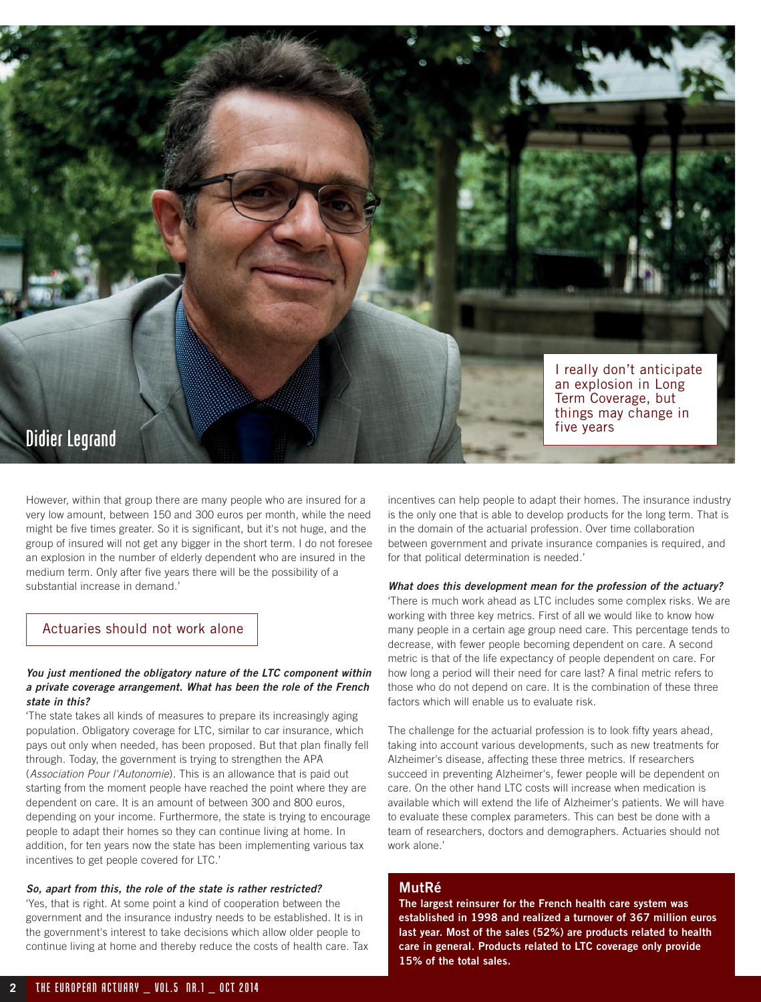

However, within that group there are many people who are insured for a very low amount, between 150 and 300 euros per month, while the need might be five times greater. So it is significant, but it's not huge, and the group of insured will not get any bigger in the short term. I do not foresee an explosion in the number of elderly dependent who are insured in the medium term. Only after five years there will be the possibility of a substantial increase in demand.'

### Actuaries should not work alone

### **You just mentioned the obligatory nature of the LTC component within a private coverage arrangement. What has been the role of the French state in this?**

'The state takes all kinds of measures to prepare its increasingly aging population. Obligatory coverage for LTC, similar to car insurance, which pays out only when needed, has been proposed. But that plan finally fell through. Today, the government is trying to strengthen the APA (Association Pour l'Autonomie). This is an allowance that is paid out starting from the moment people have reached the point where they are dependent on care. It is an amount of between 300 and 800 euros, depending on your income. Furthermore, the state is trying to encourage people to adapt their homes so they can continue living at home. In addition, for ten years now the state has been implementing various tax incentives to get people covered for LTC.'

### **So, apart from this, the role of the state is rather restricted?**

'Yes, that is right. At some point a kind of cooperation between the government and the insurance industry needs to be established. It is in the government's interest to take decisions which allow older people to continue living at home and thereby reduce the costs of health care. Tax incentives can help people to adapt their homes. The insurance industry is the only one that is able to develop products for the long term. That is in the domain of the actuarial profession. Over time collaboration between government and private insurance companies is required, and for that political determination is needed.'

### **What does this development mean for the profession of the actuary?**

'There is much work ahead as LTC includes some complex risks. We are working with three key metrics. First of all we would like to know how many people in a certain age group need care. This percentage tends to decrease, with fewer people becoming dependent on care. A second metric is that of the life expectancy of people dependent on care. For how long a period will their need for care last? A final metric refers to those who do not depend on care. It is the combination of these three factors which will enable us to evaluate risk.

The challenge for the actuarial profession is to look fifty years ahead, taking into account various developments, such as new treatments for Alzheimer's disease, affecting these three metrics. If researchers succeed in preventing Alzheimer's, fewer people will be dependent on care. On the other hand LTC costs will increase when medication is available which will extend the life of Alzheimer's patients. We will have to evaluate these complex parameters. This can best be done with a team of researchers, doctors and demographers. Actuaries should not work alone.'

### **MutRé**

**The largest reinsurer for the French health care system was established in 1998 and realized a turnover of 367 million euros last year. Most of the sales (52%) are products related to health care in general. Products related to LTC coverage only provide 15% of the total sales.**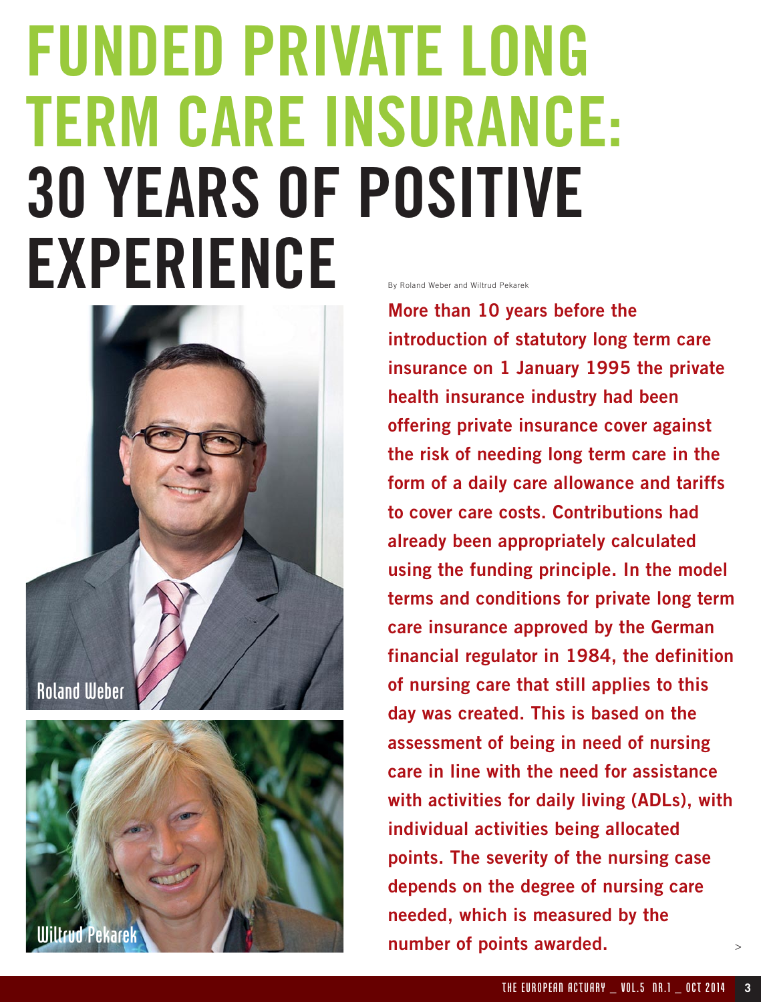### **FUNDED PRIVATE LONG TERM CARE INSURANCE: 30 YEARS OF POSITIVE** EXPERIENCE



**More than 10 years before the introduction of statutory long term care insurance on 1 January 1995 the private health insurance industry had been offering private insurance cover against the risk of needing long term care in the form of a daily care allowance and tariffs to cover care costs. Contributions had already been appropriately calculated using the funding principle. In the model terms and conditions for private long term care insurance approved by the German financial regulator in 1984, the definition of nursing care that still applies to this day was created. This is based on the assessment of being in need of nursing care in line with the need for assistance with activities for daily living (ADLs), with individual activities being allocated points. The severity of the nursing case depends on the degree of nursing care needed, which is measured by the Alliance of points awarded.**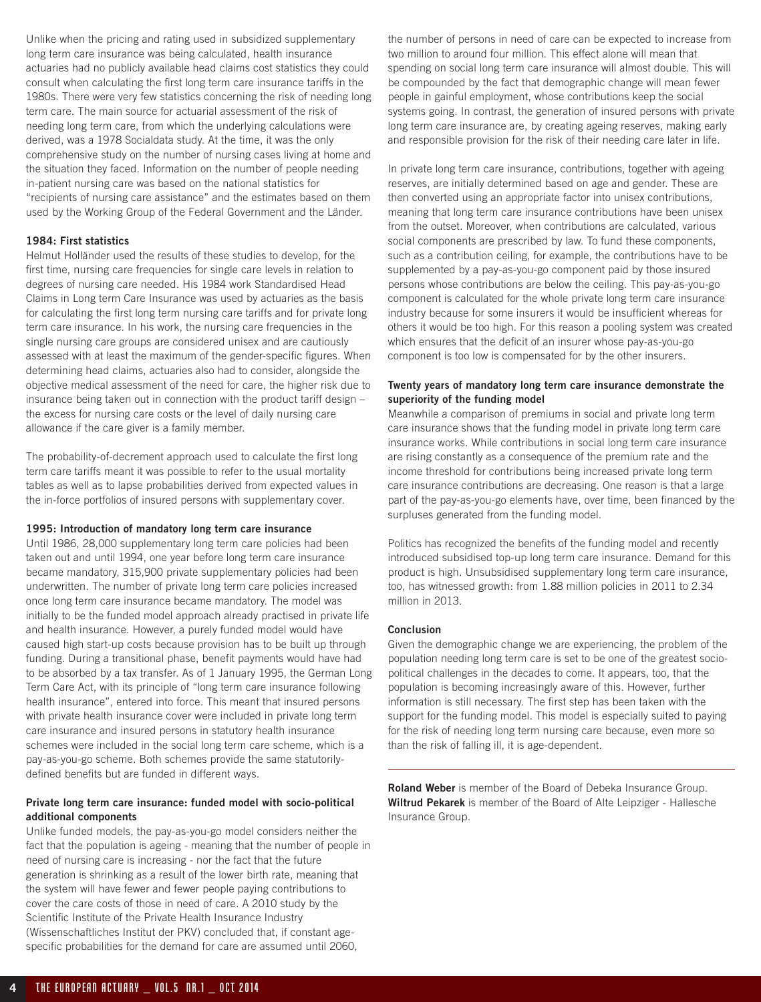Unlike when the pricing and rating used in subsidized supplementary long term care insurance was being calculated, health insurance actuaries had no publicly available head claims cost statistics they could consult when calculating the first long term care insurance tariffs in the 1980s. There were very few statistics concerning the risk of needing long term care. The main source for actuarial assessment of the risk of needing long term care, from which the underlying calculations were derived, was a 1978 Socialdata study. At the time, it was the only comprehensive study on the number of nursing cases living at home and the situation they faced. Information on the number of people needing in-patient nursing care was based on the national statistics for "recipients of nursing care assistance" and the estimates based on them used by the Working Group of the Federal Government and the Länder.

### **1984: First statistics**

Helmut Holländer used the results of these studies to develop, for the first time, nursing care frequencies for single care levels in relation to degrees of nursing care needed. His 1984 work Standardised Head Claims in Long term Care Insurance was used by actuaries as the basis for calculating the first long term nursing care tariffs and for private long term care insurance. In his work, the nursing care frequencies in the single nursing care groups are considered unisex and are cautiously assessed with at least the maximum of the gender-specific figures. When determining head claims, actuaries also had to consider, alongside the objective medical assessment of the need for care, the higher risk due to insurance being taken out in connection with the product tariff design – the excess for nursing care costs or the level of daily nursing care allowance if the care giver is a family member.

The probability-of-decrement approach used to calculate the first long term care tariffs meant it was possible to refer to the usual mortality tables as well as to lapse probabilities derived from expected values in the in-force portfolios of insured persons with supplementary cover.

#### **1995: Introduction of mandatory long term care insurance**

Until 1986, 28,000 supplementary long term care policies had been taken out and until 1994, one year before long term care insurance became mandatory, 315,900 private supplementary policies had been underwritten. The number of private long term care policies increased once long term care insurance became mandatory. The model was initially to be the funded model approach already practised in private life and health insurance. However, a purely funded model would have caused high start-up costs because provision has to be built up through funding. During a transitional phase, benefit payments would have had to be absorbed by a tax transfer. As of 1 January 1995, the German Long Term Care Act, with its principle of "long term care insurance following health insurance", entered into force. This meant that insured persons with private health insurance cover were included in private long term care insurance and insured persons in statutory health insurance schemes were included in the social long term care scheme, which is a pay-as-you-go scheme. Both schemes provide the same statutorilydefined benefits but are funded in different ways.

### **Private long term care insurance: funded model with socio-political additional components**

Unlike funded models, the pay-as-you-go model considers neither the fact that the population is ageing - meaning that the number of people in need of nursing care is increasing - nor the fact that the future generation is shrinking as a result of the lower birth rate, meaning that the system will have fewer and fewer people paying contributions to cover the care costs of those in need of care. A 2010 study by the Scientific Institute of the Private Health Insurance Industry (Wissenschaftliches Institut der PKV) concluded that, if constant agespecific probabilities for the demand for care are assumed until 2060,

the number of persons in need of care can be expected to increase from two million to around four million. This effect alone will mean that spending on social long term care insurance will almost double. This will be compounded by the fact that demographic change will mean fewer people in gainful employment, whose contributions keep the social systems going. In contrast, the generation of insured persons with private long term care insurance are, by creating ageing reserves, making early and responsible provision for the risk of their needing care later in life.

In private long term care insurance, contributions, together with ageing reserves, are initially determined based on age and gender. These are then converted using an appropriate factor into unisex contributions, meaning that long term care insurance contributions have been unisex from the outset. Moreover, when contributions are calculated, various social components are prescribed by law. To fund these components, such as a contribution ceiling, for example, the contributions have to be supplemented by a pay-as-you-go component paid by those insured persons whose contributions are below the ceiling. This pay-as-you-go component is calculated for the whole private long term care insurance industry because for some insurers it would be insufficient whereas for others it would be too high. For this reason a pooling system was created which ensures that the deficit of an insurer whose pay-as-you-go component is too low is compensated for by the other insurers.

### **Twenty years of mandatory long term care insurance demonstrate the superiority of the funding model**

Meanwhile a comparison of premiums in social and private long term care insurance shows that the funding model in private long term care insurance works. While contributions in social long term care insurance are rising constantly as a consequence of the premium rate and the income threshold for contributions being increased private long term care insurance contributions are decreasing. One reason is that a large part of the pay-as-you-go elements have, over time, been financed by the surpluses generated from the funding model.

Politics has recognized the benefits of the funding model and recently introduced subsidised top-up long term care insurance. Demand for this product is high. Unsubsidised supplementary long term care insurance, too, has witnessed growth: from 1.88 million policies in 2011 to 2.34 million in 2013.

### **Conclusion**

Given the demographic change we are experiencing, the problem of the population needing long term care is set to be one of the greatest sociopolitical challenges in the decades to come. It appears, too, that the population is becoming increasingly aware of this. However, further information is still necessary. The first step has been taken with the support for the funding model. This model is especially suited to paying for the risk of needing long term nursing care because, even more so than the risk of falling ill, it is age-dependent.

**Roland Weber** is member of the Board of Debeka Insurance Group. **Wiltrud Pekarek** is member of the Board of Alte Leipziger - Hallesche Insurance Group.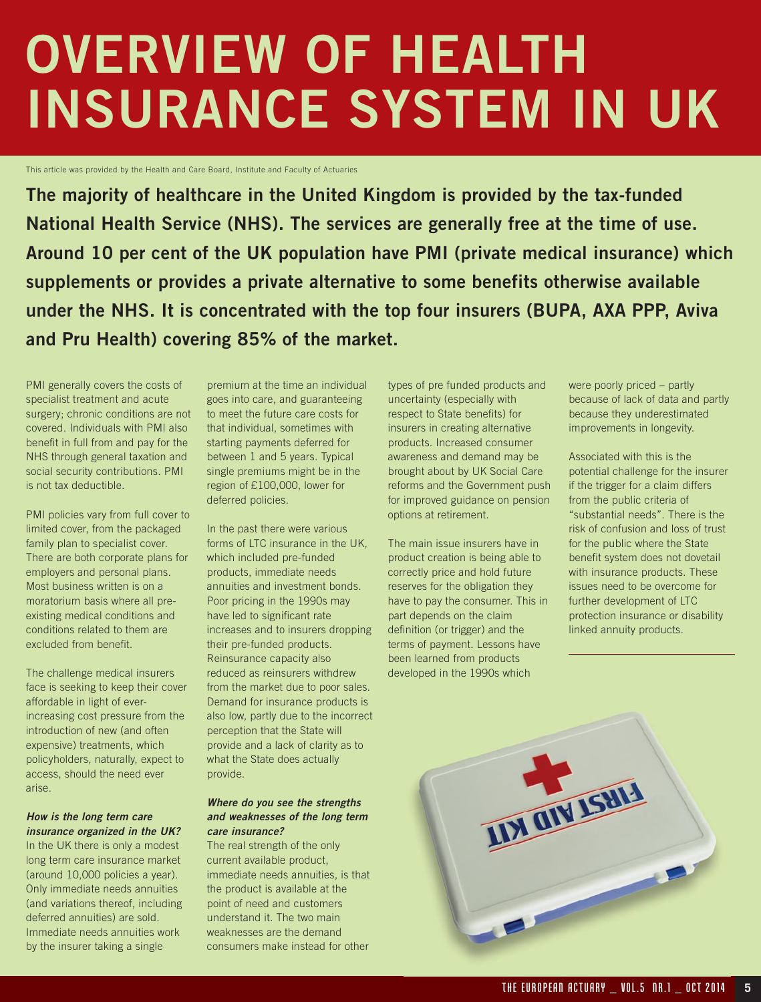### **OVERVIEW OF HEALTH INSURANCE SYSTEM IN UK**

This article was provided by the Health and Care Board, Institute and Faculty of Actuaries

**The majority of healthcare in the United Kingdom is provided by the tax-funded National Health Service (NHS). The services are generally free at the time of use. Around 10 per cent of the UK population have PMI (private medical insurance) which supplements or provides a private alternative to some benefits otherwise available under the NHS. It is concentrated with the top four insurers (BUPA, AXA PPP, Aviva and Pru Health) covering 85% of the market.**

PMI generally covers the costs of specialist treatment and acute surgery; chronic conditions are not covered. Individuals with PMI also benefit in full from and pay for the NHS through general taxation and social security contributions. PMI is not tax deductible.

PMI policies vary from full cover to limited cover, from the packaged family plan to specialist cover. There are both corporate plans for employers and personal plans. Most business written is on a moratorium basis where all preexisting medical conditions and conditions related to them are excluded from benefit.

The challenge medical insurers face is seeking to keep their cover affordable in light of everincreasing cost pressure from the introduction of new (and often expensive) treatments, which policyholders, naturally, expect to access, should the need ever arise.

### **How is the long term care insurance organized in the UK?**

In the UK there is only a modest long term care insurance market (around 10,000 policies a year). Only immediate needs annuities (and variations thereof, including deferred annuities) are sold. Immediate needs annuities work by the insurer taking a single

premium at the time an individual goes into care, and guaranteeing to meet the future care costs for that individual, sometimes with starting payments deferred for between 1 and 5 years. Typical single premiums might be in the region of £100,000, lower for deferred policies.

In the past there were various forms of LTC insurance in the UK, which included pre-funded products, immediate needs annuities and investment bonds. Poor pricing in the 1990s may have led to significant rate increases and to insurers dropping their pre-funded products. Reinsurance capacity also reduced as reinsurers withdrew from the market due to poor sales. Demand for insurance products is also low, partly due to the incorrect perception that the State will provide and a lack of clarity as to what the State does actually provide.

#### **Where do you see the strengths and weaknesses of the long term care insurance?**

The real strength of the only current available product, immediate needs annuities, is that the product is available at the point of need and customers understand it. The two main weaknesses are the demand consumers make instead for other

types of pre funded products and uncertainty (especially with respect to State benefits) for insurers in creating alternative products. Increased consumer awareness and demand may be brought about by UK Social Care reforms and the Government push for improved guidance on pension options at retirement.

The main issue insurers have in product creation is being able to correctly price and hold future reserves for the obligation they have to pay the consumer. This in part depends on the claim definition (or trigger) and the terms of payment. Lessons have been learned from products developed in the 1990s which

were poorly priced – partly because of lack of data and partly because they underestimated improvements in longevity.

Associated with this is the potential challenge for the insurer if the trigger for a claim differs from the public criteria of "substantial needs". There is the risk of confusion and loss of trust for the public where the State benefit system does not dovetail with insurance products. These issues need to be overcome for further development of LTC protection insurance or disability linked annuity products.

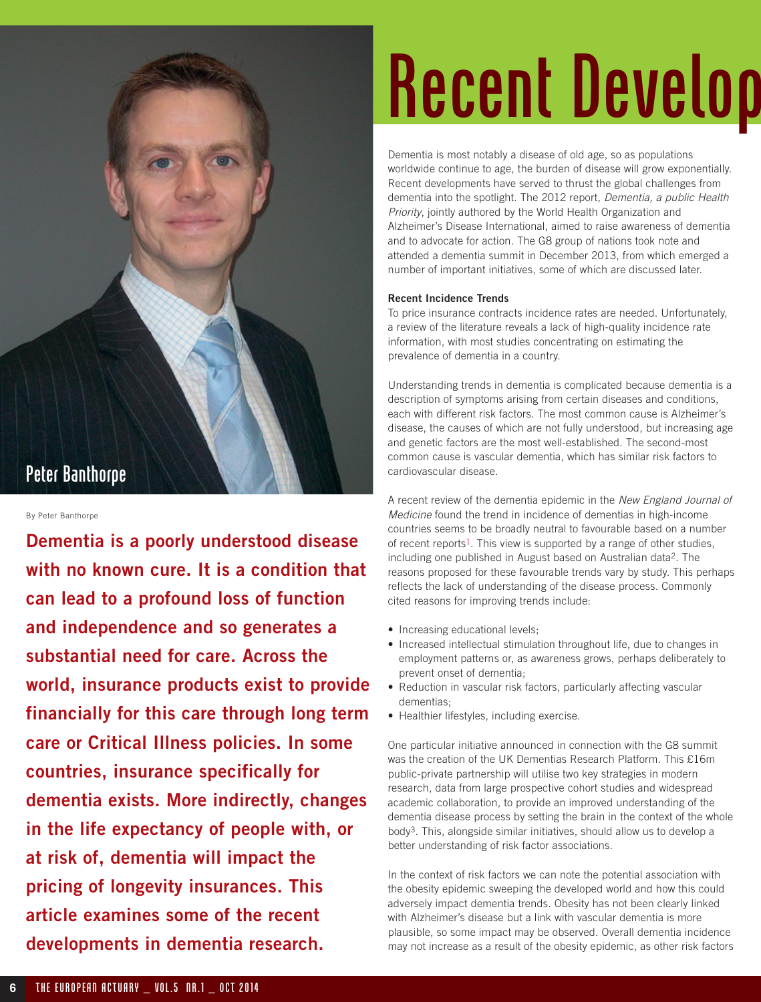### Peter Banthorpe

By Peter Banthorpe

**Dementia is a poorly understood disease with no known cure. It is a condition that can lead to a profound loss of function and independence and so generates a substantial need for care. Across the world, insurance products exist to provide financially for this care through long term care or Critical Illness policies. In some countries, insurance specifically for dementia exists. More indirectly, changes in the life expectancy of people with, or at risk of, dementia will impact the pricing of longevity insurances. This article examines some of the recent developments in dementia research.**

# Recent Develop

Dementia is most notably a disease of old age, so as populations worldwide continue to age, the burden of disease will grow exponentially. Recent developments have served to thrust the global challenges from dementia into the spotlight. The 2012 report, Dementia, a public Health Priority, jointly authored by the World Health Organization and Alzheimer's Disease International, aimed to raise awareness of dementia and to advocate for action. The G8 group of nations took note and attended a dementia summit in December 2013, from which emerged a number of important initiatives, some of which are discussed later.

### **Recent Incidence Trends**

To price insurance contracts incidence rates are needed. Unfortunately, a review of the literature reveals a lack of high-quality incidence rate information, with most studies concentrating on estimating the prevalence of dementia in a country.

Understanding trends in dementia is complicated because dementia is a description of symptoms arising from certain diseases and conditions, each with different risk factors. The most common cause is Alzheimer's disease, the causes of which are not fully understood, but increasing age and genetic factors are the most well-established. The second-most common cause is vascular dementia, which has similar risk factors to cardiovascular disease.

A recent review of the dementia epidemic in the New England Journal of Medicine found the trend in incidence of dementias in high-income countries seems to be broadly neutral to favourable based on a number of recent reports<sup>1</sup>. This view is supported by a range of other studies, including one published in August based on Australian data2. The reasons proposed for these favourable trends vary by study. This perhaps reflects the lack of understanding of the disease process. Commonly cited reasons for improving trends include:

- Increasing educational levels;
- Increased intellectual stimulation throughout life, due to changes in employment patterns or, as awareness grows, perhaps deliberately to prevent onset of dementia;
- Reduction in vascular risk factors, particularly affecting vascular dementias;
- Healthier lifestyles, including exercise.

One particular initiative announced in connection with the G8 summit was the creation of the UK Dementias Research Platform. This £16m public-private partnership will utilise two key strategies in modern research, data from large prospective cohort studies and widespread academic collaboration, to provide an improved understanding of the dementia disease process by setting the brain in the context of the whole body3. This, alongside similar initiatives, should allow us to develop a better understanding of risk factor associations.

In the context of risk factors we can note the potential association with the obesity epidemic sweeping the developed world and how this could adversely impact dementia trends. Obesity has not been clearly linked with Alzheimer's disease but a link with vascular dementia is more plausible, so some impact may be observed. Overall dementia incidence may not increase as a result of the obesity epidemic, as other risk factors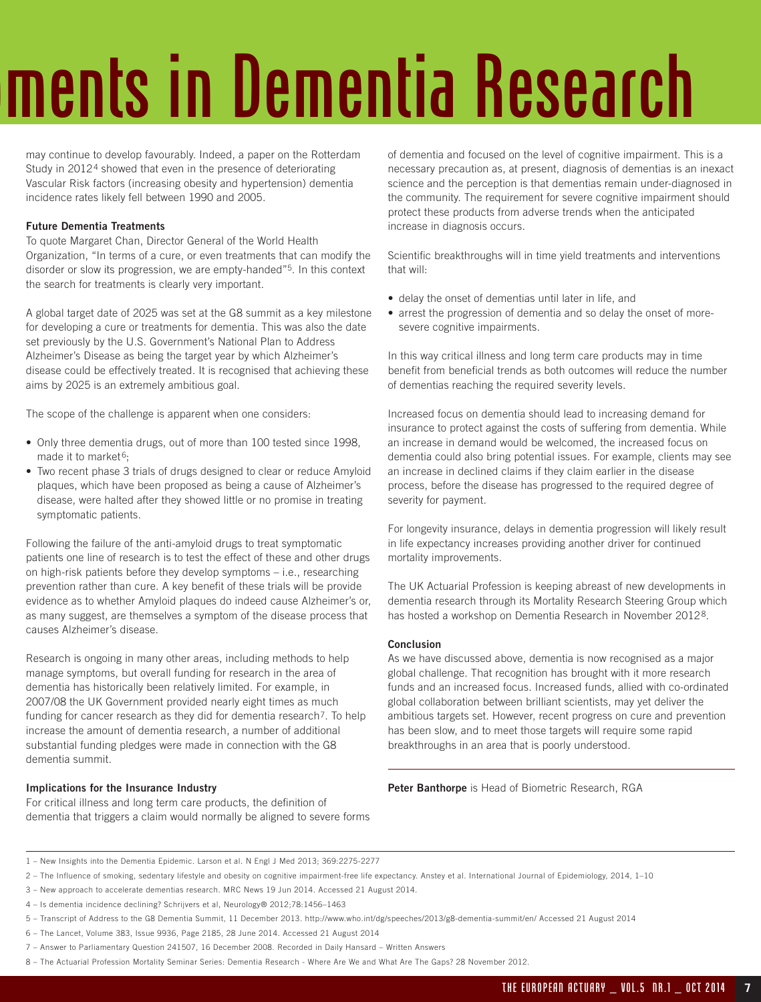# ments in Dementia Research

may continue to develop favourably. Indeed, a paper on the Rotterdam Study in 20124 showed that even in the presence of deteriorating Vascular Risk factors (increasing obesity and hypertension) dementia incidence rates likely fell between 1990 and 2005.

### **Future Dementia Treatments**

To quote Margaret Chan, Director General of the World Health Organization, "In terms of a cure, or even treatments that can modify the disorder or slow its progression, we are empty-handed"5. In this context the search for treatments is clearly very important.

A global target date of 2025 was set at the G8 summit as a key milestone for developing a cure or treatments for dementia. This was also the date set previously by the U.S. Government's National Plan to Address Alzheimer's Disease as being the target year by which Alzheimer's disease could be effectively treated. It is recognised that achieving these aims by 2025 is an extremely ambitious goal.

The scope of the challenge is apparent when one considers:

- Only three dementia drugs, out of more than 100 tested since 1998, made it to market<sup>6</sup>:
- Two recent phase 3 trials of drugs designed to clear or reduce Amyloid plaques, which have been proposed as being a cause of Alzheimer's disease, were halted after they showed little or no promise in treating symptomatic patients.

Following the failure of the anti-amyloid drugs to treat symptomatic patients one line of research is to test the effect of these and other drugs on high-risk patients before they develop symptoms – i.e., researching prevention rather than cure. A key benefit of these trials will be provide evidence as to whether Amyloid plaques do indeed cause Alzheimer's or, as many suggest, are themselves a symptom of the disease process that causes Alzheimer's disease.

Research is ongoing in many other areas, including methods to help manage symptoms, but overall funding for research in the area of dementia has historically been relatively limited. For example, in 2007/08 the UK Government provided nearly eight times as much funding for cancer research as they did for dementia research<sup>7</sup>. To help increase the amount of dementia research, a number of additional substantial funding pledges were made in connection with the G8 dementia summit.

### **Implications for the Insurance Industry**

For critical illness and long term care products, the definition of dementia that triggers a claim would normally be aligned to severe forms of dementia and focused on the level of cognitive impairment. This is a necessary precaution as, at present, diagnosis of dementias is an inexact science and the perception is that dementias remain under-diagnosed in the community. The requirement for severe cognitive impairment should protect these products from adverse trends when the anticipated increase in diagnosis occurs.

Scientific breakthroughs will in time yield treatments and interventions that will:

- delay the onset of dementias until later in life, and
- arrest the progression of dementia and so delay the onset of moresevere cognitive impairments.

In this way critical illness and long term care products may in time benefit from beneficial trends as both outcomes will reduce the number of dementias reaching the required severity levels.

Increased focus on dementia should lead to increasing demand for insurance to protect against the costs of suffering from dementia. While an increase in demand would be welcomed, the increased focus on dementia could also bring potential issues. For example, clients may see an increase in declined claims if they claim earlier in the disease process, before the disease has progressed to the required degree of severity for payment.

For longevity insurance, delays in dementia progression will likely result in life expectancy increases providing another driver for continued mortality improvements.

The UK Actuarial Profession is keeping abreast of new developments in dementia research through its Mortality Research Steering Group which has hosted a workshop on Dementia Research in November 20128.

### **Conclusion**

As we have discussed above, dementia is now recognised as a major global challenge. That recognition has brought with it more research funds and an increased focus. Increased funds, allied with co-ordinated global collaboration between brilliant scientists, may yet deliver the ambitious targets set. However, recent progress on cure and prevention has been slow, and to meet those targets will require some rapid breakthroughs in an area that is poorly understood.

**Peter Banthorpe** is Head of Biometric Research, RGA

<sup>1 –</sup> New Insights into the Dementia Epidemic. Larson et al. N Engl J Med 2013; 369:2275-2277

<sup>2 –</sup> The Influence of smoking, sedentary lifestyle and obesity on cognitive impairment-free life expectancy. Anstey et al. International Journal of Epidemiology, 2014, 1–10

<sup>3 –</sup> New approach to accelerate dementias research. MRC News 19 Jun 2014. Accessed 21 August 2014.

<sup>4 –</sup> Is dementia incidence declining? Schrijvers et al, Neurology® 2012;78:1456–1463

<sup>5 –</sup> Transcript of Address to the G8 Dementia Summit, 11 December 2013. http://www.who.int/dg/speeches/2013/g8-dementia-summit/en/ Accessed 21 August 2014

<sup>6 –</sup> The Lancet, Volume 383, Issue 9936, Page 2185, 28 June 2014. Accessed 21 August 2014

<sup>7 –</sup> Answer to Parliamentary Question 241507, 16 December 2008. Recorded in Daily Hansard – Written Answers

<sup>8 –</sup> The Actuarial Profession Mortality Seminar Series: Dementia Research - Where Are We and What Are The Gaps? 28 November 2012.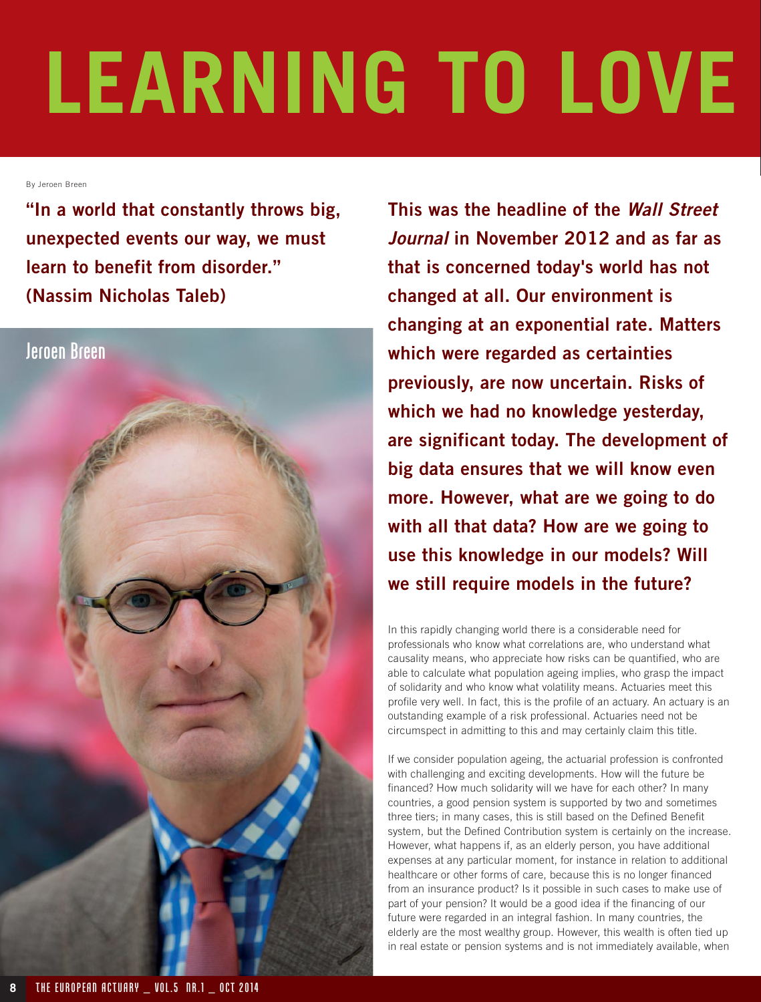# **LEARNING TO LOVE**

By Jeroen Breen

**"In a world that constantly throws big, unexpected events our way, we must learn to benefit from disorder." (Nassim Nicholas Taleb)**



**This was the headline of the Wall Street Journal in November 2012 and as far as that is concerned today's world has not changed at all. Our environment is changing at an exponential rate. Matters which were regarded as certainties previously, are now uncertain. Risks of which we had no knowledge yesterday, are significant today. The development of big data ensures that we will know even more. However, what are we going to do with all that data? How are we going to use this knowledge in our models? Will we still require models in the future?** 

In this rapidly changing world there is a considerable need for professionals who know what correlations are, who understand what causality means, who appreciate how risks can be quantified, who are able to calculate what population ageing implies, who grasp the impact of solidarity and who know what volatility means. Actuaries meet this profile very well. In fact, this is the profile of an actuary. An actuary is an outstanding example of a risk professional. Actuaries need not be circumspect in admitting to this and may certainly claim this title.

If we consider population ageing, the actuarial profession is confronted with challenging and exciting developments. How will the future be financed? How much solidarity will we have for each other? In many countries, a good pension system is supported by two and sometimes three tiers; in many cases, this is still based on the Defined Benefit system, but the Defined Contribution system is certainly on the increase. However, what happens if, as an elderly person, you have additional expenses at any particular moment, for instance in relation to additional healthcare or other forms of care, because this is no longer financed from an insurance product? Is it possible in such cases to make use of part of your pension? It would be a good idea if the financing of our future were regarded in an integral fashion. In many countries, the elderly are the most wealthy group. However, this wealth is often tied up in real estate or pension systems and is not immediately available, when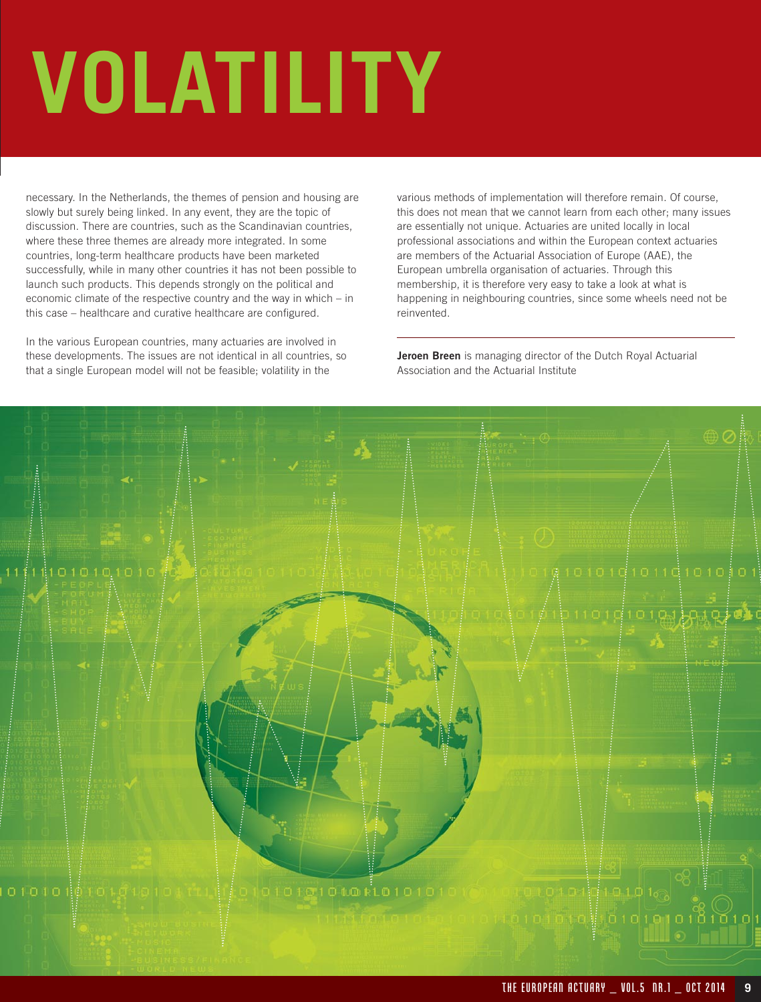# **VOLATILITY**

necessary. In the Netherlands, the themes of pension and housing are slowly but surely being linked. In any event, they are the topic of discussion. There are countries, such as the Scandinavian countries, where these three themes are already more integrated. In some countries, long-term healthcare products have been marketed successfully, while in many other countries it has not been possible to launch such products. This depends strongly on the political and economic climate of the respective country and the way in which – in this case – healthcare and curative healthcare are configured.

In the various European countries, many actuaries are involved in these developments. The issues are not identical in all countries, so that a single European model will not be feasible; volatility in the

various methods of implementation will therefore remain. Of course, this does not mean that we cannot learn from each other; many issues are essentially not unique. Actuaries are united locally in local professional associations and within the European context actuaries are members of the Actuarial Association of Europe (AAE), the European umbrella organisation of actuaries. Through this membership, it is therefore very easy to take a look at what is happening in neighbouring countries, since some wheels need not be reinvented.

**Jeroen Breen** is managing director of the Dutch Royal Actuarial Association and the Actuarial Institute

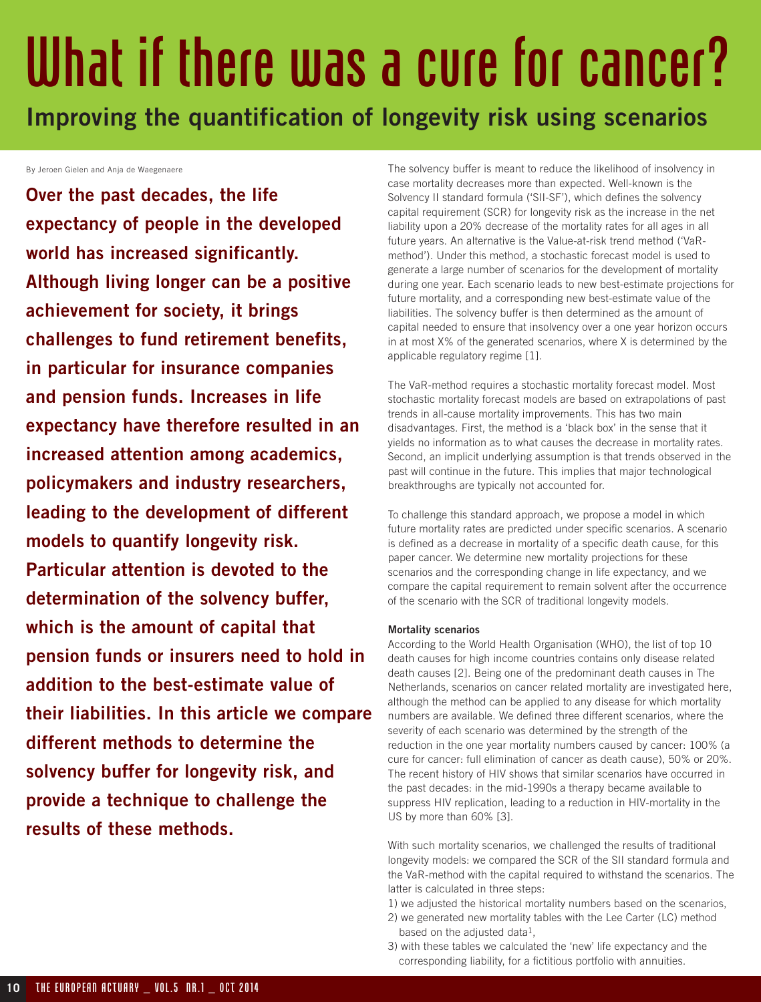### What if there was a cure for cancer?

**Improving the quantification of longevity risk using scenarios**

By Jeroen Gielen and Anja de Waegenaere

**Over the past decades, the life expectancy of people in the developed world has increased significantly. Although living longer can be a positive achievement for society, it brings challenges to fund retirement benefits, in particular for insurance companies and pension funds. Increases in life expectancy have therefore resulted in an increased attention among academics, policymakers and industry researchers, leading to the development of different models to quantify longevity risk. Particular attention is devoted to the determination of the solvency buffer, which is the amount of capital that pension funds or insurers need to hold in addition to the best-estimate value of their liabilities. In this article we compare different methods to determine the solvency buffer for longevity risk, and provide a technique to challenge the results of these methods.** 

The solvency buffer is meant to reduce the likelihood of insolvency in case mortality decreases more than expected. Well-known is the Solvency II standard formula ('SII-SF'), which defines the solvency capital requirement (SCR) for longevity risk as the increase in the net liability upon a 20% decrease of the mortality rates for all ages in all future years. An alternative is the Value-at-risk trend method ('VaRmethod'). Under this method, a stochastic forecast model is used to generate a large number of scenarios for the development of mortality during one year. Each scenario leads to new best-estimate projections for future mortality, and a corresponding new best-estimate value of the liabilities. The solvency buffer is then determined as the amount of capital needed to ensure that insolvency over a one year horizon occurs in at most X% of the generated scenarios, where X is determined by the applicable regulatory regime [1].

The VaR-method requires a stochastic mortality forecast model. Most stochastic mortality forecast models are based on extrapolations of past trends in all-cause mortality improvements. This has two main disadvantages. First, the method is a 'black box' in the sense that it yields no information as to what causes the decrease in mortality rates. Second, an implicit underlying assumption is that trends observed in the past will continue in the future. This implies that major technological breakthroughs are typically not accounted for.

To challenge this standard approach, we propose a model in which future mortality rates are predicted under specific scenarios. A scenario is defined as a decrease in mortality of a specific death cause, for this paper cancer. We determine new mortality projections for these scenarios and the corresponding change in life expectancy, and we compare the capital requirement to remain solvent after the occurrence of the scenario with the SCR of traditional longevity models.

### **Mortality scenarios**

According to the World Health Organisation (WHO), the list of top 10 death causes for high income countries contains only disease related death causes [2]. Being one of the predominant death causes in The Netherlands, scenarios on cancer related mortality are investigated here, although the method can be applied to any disease for which mortality numbers are available. We defined three different scenarios, where the severity of each scenario was determined by the strength of the reduction in the one year mortality numbers caused by cancer: 100% (a cure for cancer: full elimination of cancer as death cause), 50% or 20%. The recent history of HIV shows that similar scenarios have occurred in the past decades: in the mid-1990s a therapy became available to suppress HIV replication, leading to a reduction in HIV-mortality in the US by more than 60% [3].

With such mortality scenarios, we challenged the results of traditional longevity models: we compared the SCR of the SII standard formula and the VaR-method with the capital required to withstand the scenarios. The latter is calculated in three steps:

1) we adjusted the historical mortality numbers based on the scenarios,

- 2) we generated new mortality tables with the Lee Carter (LC) method based on the adjusted data<sup>1</sup>.
- 3) with these tables we calculated the 'new' life expectancy and the corresponding liability, for a fictitious portfolio with annuities.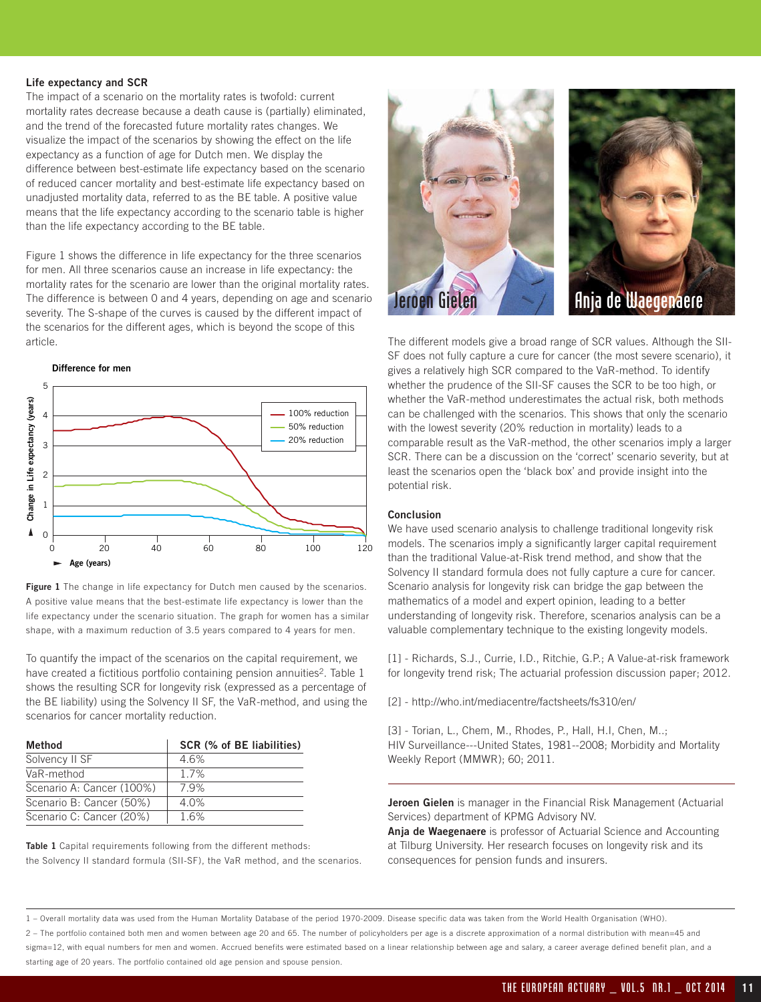#### **Life expectancy and SCR**

The impact of a scenario on the mortality rates is twofold: current mortality rates decrease because a death cause is (partially) eliminated, and the trend of the forecasted future mortality rates changes. We visualize the impact of the scenarios by showing the effect on the life expectancy as a function of age for Dutch men. We display the difference between best-estimate life expectancy based on the scenario of reduced cancer mortality and best-estimate life expectancy based on unadjusted mortality data, referred to as the BE table. A positive value means that the life expectancy according to the scenario table is higher than the life expectancy according to the BE table.

Figure 1 shows the difference in life expectancy for the three scenarios for men. All three scenarios cause an increase in life expectancy: the mortality rates for the scenario are lower than the original mortality rates. The difference is between 0 and 4 years, depending on age and scenario severity. The S-shape of the curves is caused by the different impact of the scenarios for the different ages, which is beyond the scope of this article.



Figure 1 The change in life expectancy for Dutch men caused by the scenarios. A positive value means that the best-estimate life expectancy is lower than the life expectancy under the scenario situation. The graph for women has a similar shape, with a maximum reduction of 3.5 years compared to 4 years for men.

To quantify the impact of the scenarios on the capital requirement, we have created a fictitious portfolio containing pension annuities<sup>2</sup>. Table 1 shows the resulting SCR for longevity risk (expressed as a percentage of the BE liability) using the Solvency II SF, the VaR-method, and using the scenarios for cancer mortality reduction.

| Method                    | SCR (% of BE liabilities) |
|---------------------------|---------------------------|
| Solvency II SF            | 46%                       |
| VaR-method                | 17%                       |
| Scenario A: Cancer (100%) | 79%                       |
| Scenario B: Cancer (50%)  | 4.0%                      |
| Scenario C: Cancer (20%)  | 16%                       |

**Table 1** Capital requirements following from the different methods: the Solvency II standard formula (SII-SF), the VaR method, and the scenarios.





The different models give a broad range of SCR values. Although the SII-SF does not fully capture a cure for cancer (the most severe scenario), it gives a relatively high SCR compared to the VaR-method. To identify whether the prudence of the SII-SF causes the SCR to be too high, or whether the VaR-method underestimates the actual risk, both methods can be challenged with the scenarios. This shows that only the scenario with the lowest severity (20% reduction in mortality) leads to a comparable result as the VaR-method, the other scenarios imply a larger SCR. There can be a discussion on the 'correct' scenario severity, but at least the scenarios open the 'black box' and provide insight into the potential risk.

### **Conclusion**

We have used scenario analysis to challenge traditional longevity risk models. The scenarios imply a significantly larger capital requirement than the traditional Value-at-Risk trend method, and show that the Solvency II standard formula does not fully capture a cure for cancer. Scenario analysis for longevity risk can bridge the gap between the mathematics of a model and expert opinion, leading to a better understanding of longevity risk. Therefore, scenarios analysis can be a valuable complementary technique to the existing longevity models.

[1] - Richards, S.J., Currie, I.D., Ritchie, G.P.; A Value-at-risk framework for longevity trend risk; The actuarial profession discussion paper; 2012.

[2] - http://who.int/mediacentre/factsheets/fs310/en/

[3] - Torian, L., Chem, M., Rhodes, P., Hall, H.I, Chen, M..; HIV Surveillance---United States, 1981--2008; Morbidity and Mortality Weekly Report (MMWR); 60; 2011.

**Jeroen Gielen** is manager in the Financial Risk Management (Actuarial Services) department of KPMG Advisory NV.

**Anja de Waegenaere** is professor of Actuarial Science and Accounting at Tilburg University. Her research focuses on longevity risk and its consequences for pension funds and insurers.

1 – Overall mortality data was used from the Human Mortality Database of the period 1970-2009. Disease specific data was taken from the World Health Organisation (WHO).

2 – The portfolio contained both men and women between age 20 and 65. The number of policyholders per age is a discrete approximation of a normal distribution with mean=45 and sigma=12, with equal numbers for men and women. Accrued benefits were estimated based on a linear relationship between age and salary, a career average defined benefit plan, and a starting age of 20 years. The portfolio contained old age pension and spouse pension.